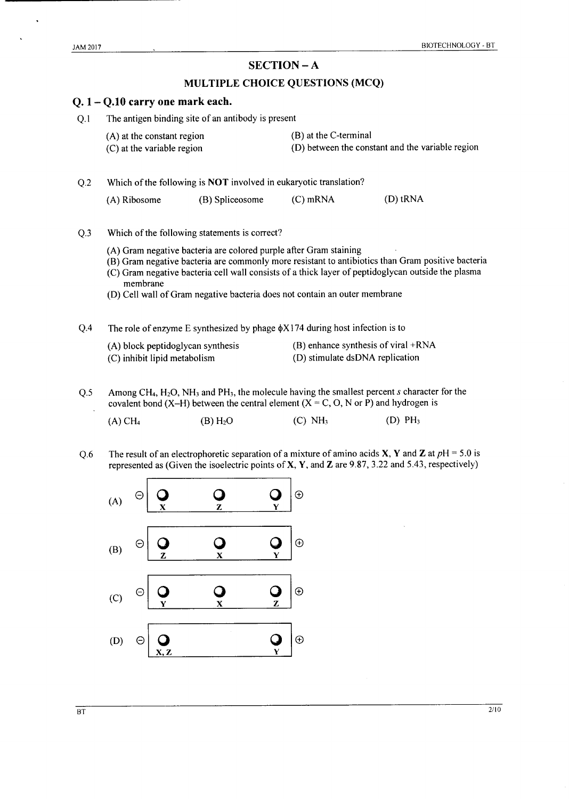$\ddot{\phantom{1}}$ 

## $SECTION - A$

## MULTIPLE CHOICE QUESTIONS (MCQ)

|                | $Q.1 - Q.10$ carry one mark each.                                                                                                                                                                                                                                                                                                                                      |                                                                                   |                       |                                                                           |  |  |  |  |
|----------------|------------------------------------------------------------------------------------------------------------------------------------------------------------------------------------------------------------------------------------------------------------------------------------------------------------------------------------------------------------------------|-----------------------------------------------------------------------------------|-----------------------|---------------------------------------------------------------------------|--|--|--|--|
| Q.1            |                                                                                                                                                                                                                                                                                                                                                                        | The antigen binding site of an antibody is present                                |                       |                                                                           |  |  |  |  |
|                | (A) at the constant region<br>(C) at the variable region                                                                                                                                                                                                                                                                                                               |                                                                                   |                       | (B) at the C-terminal<br>(D) between the constant and the variable region |  |  |  |  |
| Q.2            |                                                                                                                                                                                                                                                                                                                                                                        | Which of the following is <b>NOT</b> involved in eukaryotic translation?          |                       |                                                                           |  |  |  |  |
|                | (A) Ribosome                                                                                                                                                                                                                                                                                                                                                           | (B) Spliceosome                                                                   | $(C)$ mRNA            | (D) tRNA                                                                  |  |  |  |  |
| Q <sub>3</sub> | Which of the following statements is correct?                                                                                                                                                                                                                                                                                                                          |                                                                                   |                       |                                                                           |  |  |  |  |
|                | (A) Gram negative bacteria are colored purple after Gram staining<br>(B) Gram negative bacteria are commonly more resistant to antibiotics than Gram positive bacteria<br>(C) Gram negative bacteria cell wall consists of a thick layer of peptidoglycan outside the plasma<br>membrane<br>(D) Cell wall of Gram negative bacteria does not contain an outer membrane |                                                                                   |                       |                                                                           |  |  |  |  |
| Q.4            |                                                                                                                                                                                                                                                                                                                                                                        | The role of enzyme E synthesized by phage $\phi$ X174 during host infection is to |                       |                                                                           |  |  |  |  |
|                | (A) block peptidoglycan synthesis<br>(C) inhibit lipid metabolism                                                                                                                                                                                                                                                                                                      |                                                                                   |                       | (B) enhance synthesis of viral +RNA<br>(D) stimulate dsDNA replication    |  |  |  |  |
| Q.5            | Among CH <sub>4</sub> , H <sub>2</sub> O, NH <sub>3</sub> and PH <sub>3</sub> , the molecule having the smallest percent $s$ character for the<br>covalent bond (X–H) between the central element ( $X = C$ , O, N or P) and hydrogen is                                                                                                                               |                                                                                   |                       |                                                                           |  |  |  |  |
|                | $(A)$ CH <sub>4</sub>                                                                                                                                                                                                                                                                                                                                                  | $(B)$ H <sub>2</sub> O                                                            | $(C)$ NH <sub>3</sub> | (D) PH <sub>3</sub>                                                       |  |  |  |  |
| Q.6            | The result of an electrophoretic separation of a mixture of amino acids X, Y and Z at $pH = 5.0$ is<br>represented as (Given the isoelectric points of $X$ , $Y$ , and $Z$ are 9.87, 3.22 and 5.43, respectively)                                                                                                                                                      |                                                                                   |                       |                                                                           |  |  |  |  |
|                | (A)                                                                                                                                                                                                                                                                                                                                                                    |                                                                                   | $\oplus$              |                                                                           |  |  |  |  |
|                | (B)<br>7.                                                                                                                                                                                                                                                                                                                                                              |                                                                                   | $\bigoplus$           |                                                                           |  |  |  |  |

 $(D)$  $Q_{\text{X},\text{Z}}$  $\Theta$ 

 $\frac{Q}{Y}$ 

 $\boldsymbol{\Theta}$ 

 $\overline{C}$ 

 $Q_{\overline{x}}$ 

 $\frac{Q}{Z}$ 

 $\mathbf{Q}_{\mathbf{Y}}$ 

 $\oplus$ 

 $\bigoplus$ 

 $\frac{2}{10}$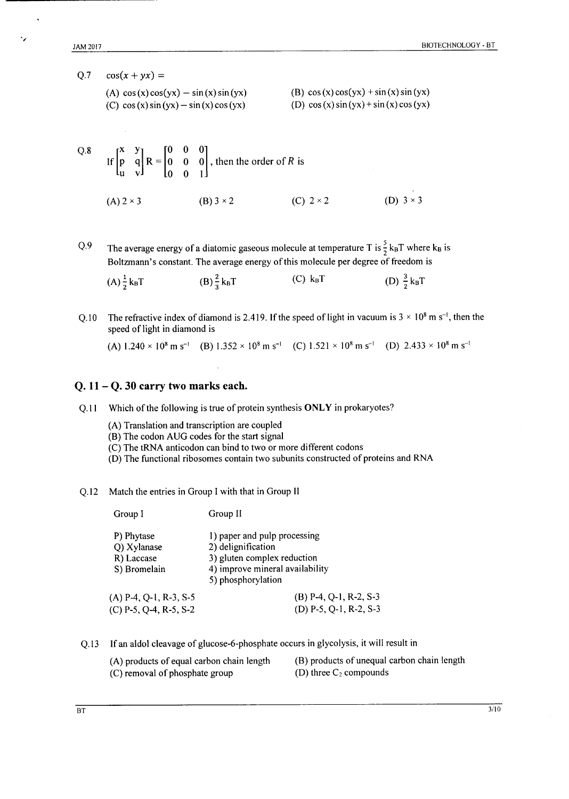$Q.7$  $\cos(x + yx) =$ 

| (A) $cos(x)cos(yx) - sin(x)sin(yx)$   | (B) $cos(x)cos(yx) + sin(x)sin(yx)$   |
|---------------------------------------|---------------------------------------|
| (C) $cos(x) sin(yx) - sin(x) cos(yx)$ | (D) $cos(x) sin(yx) + sin(x) cos(yx)$ |

Q.8  
\nIf 
$$
\begin{bmatrix} x & y \\ p & q \\ u & v \end{bmatrix} R = \begin{bmatrix} 0 & 0 & 0 \\ 0 & 0 & 0 \\ 0 & 0 & 1 \end{bmatrix}
$$
, then the order of *R* is  
\n(A) 2 × 3  
\n(B) 3 × 2  
\n(C) 2 × 2  
\n(D) 3 × 3

The average energy of a diatomic gaseous molecule at temperature T is  $\frac{5}{2}$  k<sub>B</sub>T where k<sub>B</sub> is O.9 Boltzmann's constant. The average energy of this molecule per degree of freedom is

 $(C)$  k<sub>B</sub>T (D)  $\frac{3}{2}k_BT$  $(B)\frac{2}{3}k_BT$  $(A) \frac{1}{2} k_B T$ 

The refractive index of diamond is 2.419. If the speed of light in vacuum is  $3 \times 10^8$  m s<sup>-1</sup>, then the  $Q.10$ speed of light in diamond is

(A)  $1.240 \times 10^8$  m s<sup>-1</sup> (B)  $1.352 \times 10^8$  m s<sup>-1</sup> (C)  $1.521 \times 10^8$  m s<sup>-1</sup> (D)  $2.433 \times 10^8$  m s<sup>-1</sup>

#### Q.  $11 - Q$ . 30 carry two marks each.

Q.11 Which of the following is true of protein synthesis ONLY in prokaryotes?

- (A) Translation and transcription are coupled
- (B) The codon AUG codes for the start signal
- (C) The tRNA anticodon can bind to two or more different codons
- (D) The functional ribosomes contain two subunits constructed of proteins and RNA

#### Q.12 Match the entries in Group I with that in Group II

| Group I                                                 | Group II                                                                                                                                   |
|---------------------------------------------------------|--------------------------------------------------------------------------------------------------------------------------------------------|
| P) Phytase<br>Q) Xylanase<br>R) Laccase<br>S) Bromelain | 1) paper and pulp processing<br>2) delignification<br>3) gluten complex reduction<br>4) improve mineral availability<br>5) phosphorylation |
| $(A)$ P-4, Q-1, R-3, S-5<br>$(C)$ P-5, Q-4, R-5, S-2    | $(B)$ P-4, Q-1, R-2, S-3<br>(D) $P-5$ , $Q-1$ , $R-2$ , $S-3$                                                                              |

- Q.13 If an aldol cleavage of glucose-6-phosphate occurs in glycolysis, it will result in
	- (A) products of equal carbon chain length (C) removal of phosphate group
- (B) products of unequal carbon chain length (D) three  $C_2$  compounds

۰,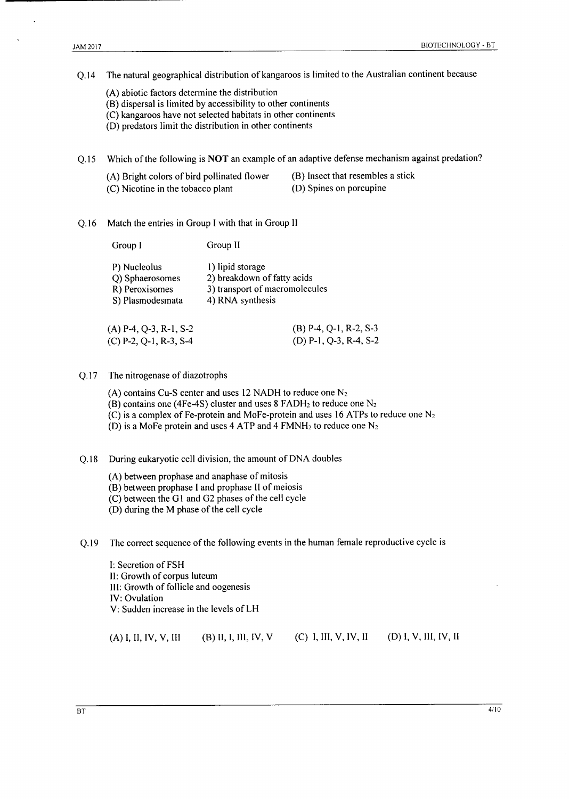The natural geographical distribution of kangaroos is limited to the Australian continent because  $O.14$ 

- (A) abiotic factors determine the distribution
- (B) dispersal is limited by accessibility to other continents
- (C) kangaroos have not selected habitats in other continents
- (D) predators limit the distribution in other continents

Which of the following is NOT an example of an adaptive defense mechanism against predation?  $Q.15$ 

- (A) Bright colors of bird pollinated flower
- (B) Insect that resembles a stick
- (C) Nicotine in the tobacco plant
- (D) Spines on porcupine
- Match the entries in Group I with that in Group II  $Q.16$

| Group I                         | Group II                                        |  |  |
|---------------------------------|-------------------------------------------------|--|--|
| P) Nucleolus<br>Q) Sphaerosomes | 1) lipid storage<br>2) breakdown of fatty acids |  |  |
| R) Peroxisomes                  | 3) transport of macromolecules                  |  |  |
| S) Plasmodesmata                | 4) RNA synthesis                                |  |  |
| $(A)$ P-4, Q-3, R-1, S-2        | $(B)$ P-4, Q-1, R-2, S-3                        |  |  |
| $(C)$ P-2, Q-1, R-3, S-4        | $(D)$ P-1, Q-3, R-4, S-2                        |  |  |

#### The nitrogenase of diazotrophs  $Q.17$

- (A) contains Cu-S center and uses 12 NADH to reduce one  $N_2$
- (B) contains one (4Fe-4S) cluster and uses 8 FADH<sub>2</sub> to reduce one  $N_2$
- (C) is a complex of Fe-protein and MoFe-protein and uses 16 ATPs to reduce one  $N_2$
- (D) is a MoFe protein and uses 4 ATP and 4 FMNH<sub>2</sub> to reduce one  $N_2$

 $Q.18$ During eukaryotic cell division, the amount of DNA doubles

- (A) between prophase and anaphase of mitosis
- (B) between prophase I and prophase II of meiosis
- (C) between the G1 and G2 phases of the cell cycle
- (D) during the M phase of the cell cycle

The correct sequence of the following events in the human female reproductive cycle is  $Q.19$ 

I: Secretion of FSH II: Growth of corpus luteum III: Growth of follicle and oogenesis IV: Ovulation V: Sudden increase in the levels of LH

(A) I, II, IV, V, III  $(B)$  II, I, III, IV, V  $(C)$  I, III, V, IV, II  $(D) I, V, III, IV, II$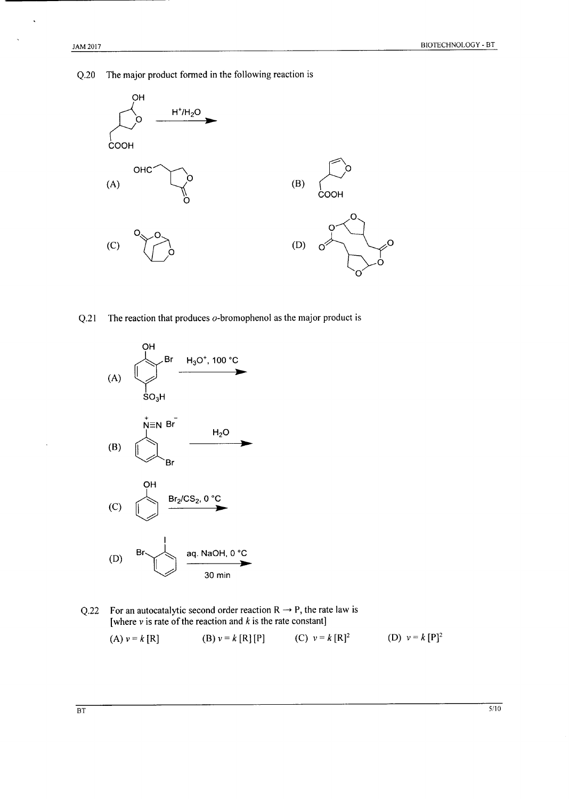The major product formed in the following reaction is  $Q.20$ 



The reaction that produces  $o$ -bromophenol as the major product is  $Q.21$ 



For an autocatalytic second order reaction  $R \rightarrow P$ , the rate law is  $Q.22$ [where  $v$  is rate of the reaction and  $k$  is the rate constant]

(A) 
$$
v = k [R]
$$
 (B)  $v = k [R] [P]$  (C)  $v = k [R]^2$  (D)  $v = k [P]^2$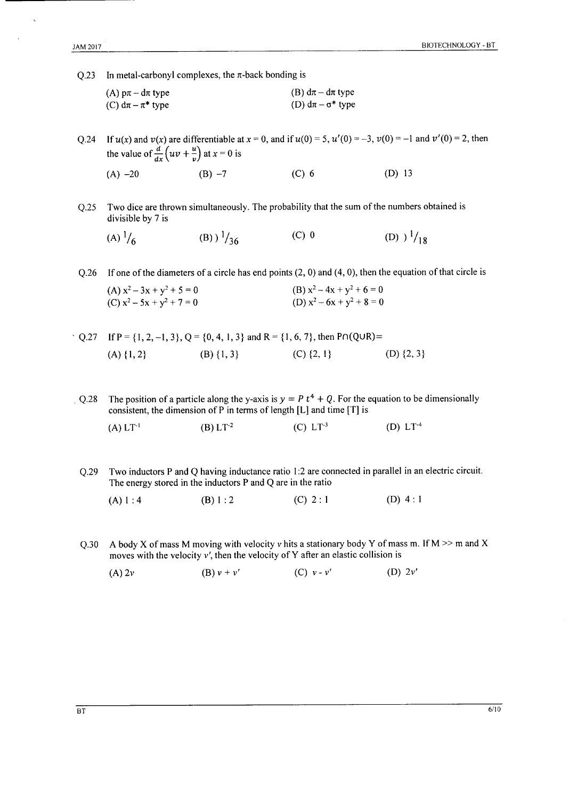Q.23 In metal-carbonyl complexes, the  $\pi$ -back bonding is

| (A) $p\pi - d\pi$ type  | (B) $d\pi - d\pi$ type     |
|-------------------------|----------------------------|
| (C) $d\pi - \pi^*$ type | (D) $d\pi - \sigma^*$ type |

O.24 If  $u(x)$  and  $v(x)$  are differentiable at  $x = 0$ , and if  $u(0) = 5$ ,  $u'(0) = -3$ ,  $v(0) = -1$  and  $v'(0) = 2$ , then the value of  $\frac{d}{dx}(uv + \frac{u}{v})$  at  $x = 0$  is

 $(A) -20$  $(B) -7$  $(C)$  6  $(D) 13$ 

 $Q.25$ Two dice are thrown simultaneously. The probability that the sum of the numbers obtained is divisible by 7 is

(A) 
$$
\frac{1}{6}
$$
 (B)  $\frac{1}{36}$  (C) 0 (D)  $\frac{1}{18}$ 

Q.26 If one of the diameters of a circle has end points  $(2, 0)$  and  $(4, 0)$ , then the equation of that circle is  $\left( 1 \right)$  2 2  $(D) -2$   $4n + 2 + 6$  $\overline{2}$  $\sim$ 

| $(A)$ $X^2 - 3X + Y^2 + 5 = 0$ | $(B) X^2 - 4X + Y^2 + 0 = 0$ |
|--------------------------------|------------------------------|
| (C) $x^2 - 5x + y^2 + 7 = 0$   | (D) $x^2-6x+y^2+8=0$         |

|                |                | Q.27 If P = {1, 2, -1, 3}, Q = {0, 4, 1, 3} and R = {1, 6, 7}, then P $\Omega$ (QUR) = |                |  |
|----------------|----------------|----------------------------------------------------------------------------------------|----------------|--|
| $(A) \{1, 2\}$ | $(B) \{1, 3\}$ | $(C) \{2, 1\}$                                                                         | (D) $\{2, 3\}$ |  |

The position of a particle along the y-axis is  $y = P t^4 + Q$ . For the equation to be dimensionally  $Q.28$ consistent, the dimension of P in terms of length [L] and time [T] is

- $(B) L T^{-2}$  $(C) L T^{-3}$  $(A)$   $LT^{-1}$ (D)  $LT^{-4}$
- Two inductors P and Q having inductance ratio 1:2 are connected in parallel in an electric circuit.  $Q.29$ The energy stored in the inductors P and Q are in the ratio
	- (D)  $4:1$  $(B) 1:2$  $(C) 2:1$  $(A) 1:4$
- A body X of mass M moving with velocity v hits a stationary body Y of mass m. If M  $\gg$  m and X  $Q.30$ moves with the velocity  $v'$ , then the velocity of Y after an elastic collision is
	- (B)  $v + v'$ (C)  $v - v'$ (D)  $2v'$  $(A)$  2 $v$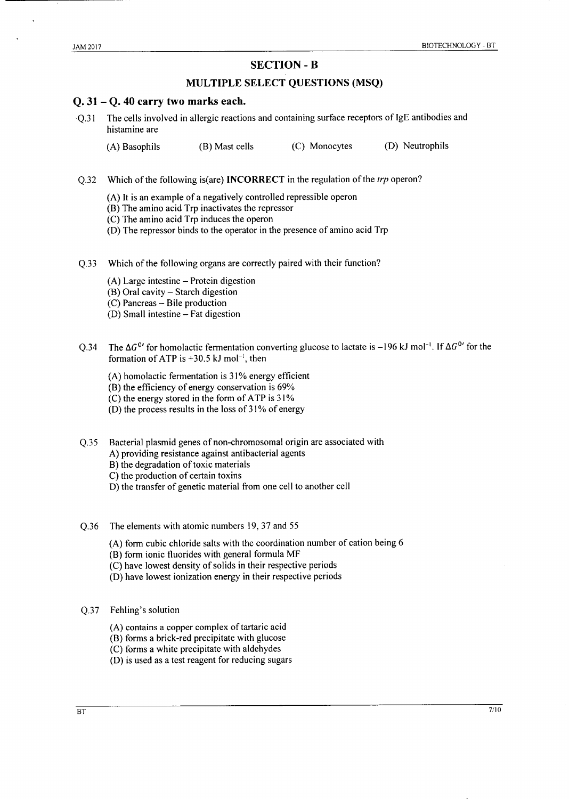#### **SECTION - B**

#### **MULTIPLE SELECT QUESTIONS (MSQ)**

#### $0.31 - 0.40$  carry two marks each.

The cells involved in allergic reactions and containing surface receptors of IgE antibodies and  $\Omega$ .31 histamine are

(D) Neutrophils (A) Basophils (B) Mast cells (C) Monocytes

- Which of the following is(are) **INCORRECT** in the regulation of the *trp* operon?  $O.32$ 
	- (A) It is an example of a negatively controlled repressible operon
	- (B) The amino acid Trp inactivates the repressor
	- (C) The amino acid Trp induces the operon
	- (D) The repressor binds to the operator in the presence of amino acid Trp
- $Q.33$ Which of the following organs are correctly paired with their function?
	- $(A)$  Large intestine Protein digestion
	- (B) Oral cavity Starch digestion
	- (C) Pancreas Bile production
	- (D) Small intestine Fat digestion
- The  $\Delta G^{0}$  for homolactic fermentation converting glucose to lactate is -196 kJ mol<sup>-1</sup>. If  $\Delta G^{0}$  for the  $O.34$ formation of ATP is +30.5 kJ mol<sup>-1</sup>, then
	- (A) homolactic fermentation is 31% energy efficient
	- (B) the efficiency of energy conservation is 69%
	- (C) the energy stored in the form of ATP is 31%
	- (D) the process results in the loss of 31% of energy
- Bacterial plasmid genes of non-chromosomal origin are associated with  $Q.35$ A) providing resistance against antibacterial agents
	- B) the degradation of toxic materials
	- C) the production of certain toxins
	- D) the transfer of genetic material from one cell to another cell
- $O.36$ The elements with atomic numbers 19, 37 and 55
	- (A) form cubic chloride salts with the coordination number of cation being 6
	- (B) form ionic fluorides with general formula MF
	- (C) have lowest density of solids in their respective periods
	- (D) have lowest ionization energy in their respective periods
- O.37 Fehling's solution
	- (A) contains a copper complex of tartaric acid
	- (B) forms a brick-red precipitate with glucose
	- (C) forms a white precipitate with aldehydes
	- (D) is used as a test reagent for reducing sugars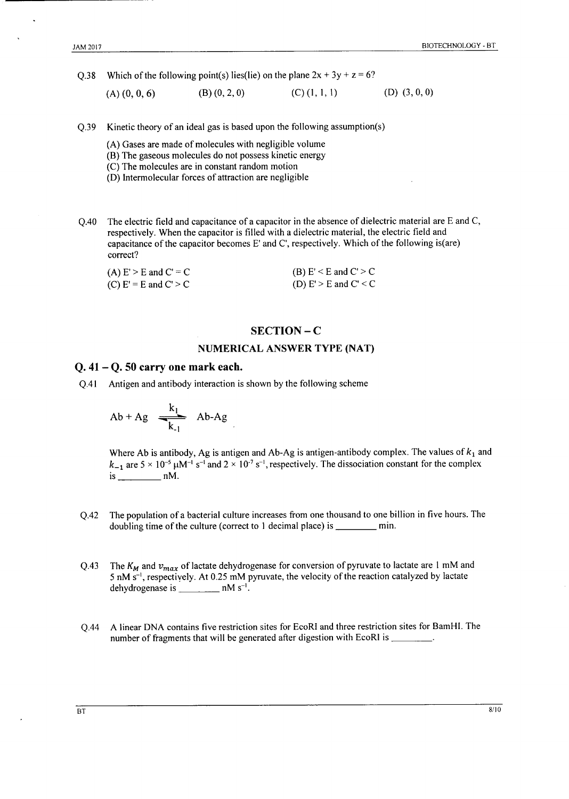Q.38 Which of the following point(s) lies(lie) on the plane  $2x + 3y + z = 6$ ?

 $(B)$   $(0, 2, 0)$  $(C)$   $(1, 1, 1)$  $(D)$   $(3, 0, 0)$  $(A)$   $(0, 0, 6)$ 

Kinetic theory of an ideal gas is based upon the following assumption(s)  $Q.39$ 

(A) Gases are made of molecules with negligible volume

- (B) The gaseous molecules do not possess kinetic energy
- (C) The molecules are in constant random motion
- (D) Intermolecular forces of attraction are negligible
- The electric field and capacitance of a capacitor in the absence of dielectric material are E and C,  $O.40$ respectively. When the capacitor is filled with a dielectric material, the electric field and capacitance of the capacitor becomes E' and C', respectively. Which of the following is(are) correct?

| (A) $E' > E$ and $C' = C$ | (B) $E' < E$ and $C' > C$ |
|---------------------------|---------------------------|
| (C) $E' = E$ and $C' > C$ | (D) $E' > E$ and $C' < C$ |

#### $SECTION - C$

#### **NUMERICAL ANSWER TYPE (NAT)**

#### $Q.41 - Q.50$  carry one mark each.

O.41 Antigen and antibody interaction is shown by the following scheme

$$
Ab + Ag \xrightarrow[k]{} Ab-Ag
$$

Where Ab is antibody, Ag is antigen and Ab-Ag is antigen-antibody complex. The values of  $k_1$  and  $k_{-1}$  are  $5 \times 10^{-5}$   $\mu$ M<sup>-1</sup> s<sup>-1</sup> and  $2 \times 10^{-7}$  s<sup>-1</sup>, respectively. The dissociation constant for the complex  $is \_\_nM$ .

- The population of a bacterial culture increases from one thousand to one billion in five hours. The  $Q.42$ doubling time of the culture (correct to 1 decimal place) is \_\_\_\_\_\_\_\_\_\_ min.
- The  $K_M$  and  $v_{max}$  of lactate dehydrogenase for conversion of pyruvate to lactate are 1 mM and  $Q.43$  $5 \text{ nM s}^{-1}$ , respectively. At 0.25 mM pyruvate, the velocity of the reaction catalyzed by lactate dehydrogenase is  $\frac{1}{2}$  nM s<sup>-1</sup>.
- A linear DNA contains five restriction sites for EcoRI and three restriction sites for BamHI. The  $Q.44$ number of fragments that will be generated after digestion with EcoRI is \_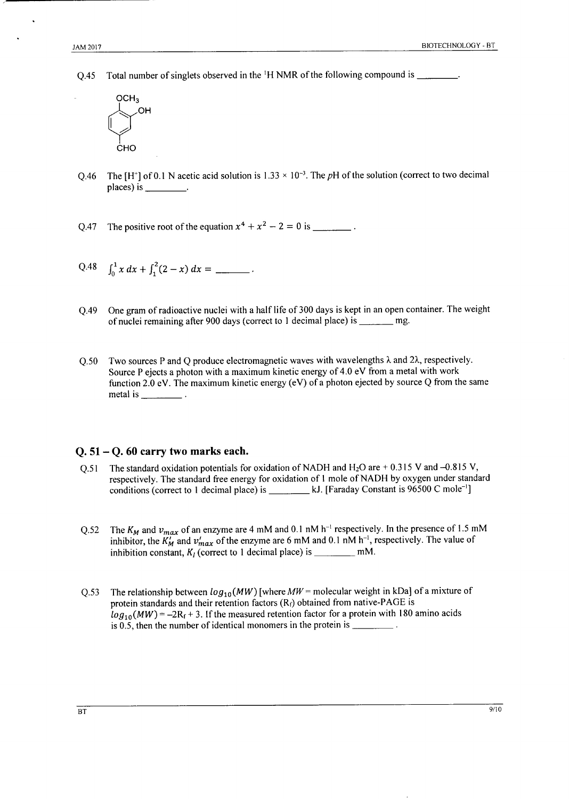Total number of singlets observed in the <sup>1</sup>H NMR of the following compound is \_\_\_\_\_\_\_\_.  $Q.45$ 



- The  $[H^+]$  of 0.1 N acetic acid solution is 1.33  $\times$  10<sup>-3</sup>. The pH of the solution (correct to two decimal O.46  $places)$  is  $\_\_\_\_\_\_\_\_\_\_\.\$
- The positive root of the equation  $x^4 + x^2 2 = 0$  is O.47
- Q.48  $\int_0^1 x \, dx + \int_1^2 (2 x) \, dx =$  \_\_\_\_\_\_\_\_.
- One gram of radioactive nuclei with a half life of 300 days is kept in an open container. The weight  $O.49$ of nuclei remaining after 900 days (correct to 1 decimal place) is \_\_\_\_\_\_ mg.
- Two sources P and Q produce electromagnetic waves with wavelengths  $\lambda$  and  $2\lambda$ , respectively.  $O.50$ Source P ejects a photon with a maximum kinetic energy of 4.0 eV from a metal with work function 2.0 eV. The maximum kinetic energy (eV) of a photon ejected by source Q from the same metal is  $\frac{1}{\sqrt{1-\frac{1}{\sqrt{1-\frac{1}{\sqrt{1-\frac{1}{\sqrt{1-\frac{1}{\sqrt{1-\frac{1}{\sqrt{1-\frac{1}{\sqrt{1-\frac{1}{\sqrt{1-\frac{1}{\sqrt{1-\frac{1}{\sqrt{1-\frac{1}{\sqrt{1-\frac{1}{\sqrt{1-\frac{1}{\sqrt{1-\frac{1}{\sqrt{1-\frac{1}{\sqrt{1-\frac{1}{\sqrt{1-\frac{1}{\sqrt{1-\frac{1}{\sqrt{1-\frac{1}{\sqrt{1-\frac{1}{\sqrt{1-\frac{1}{\sqrt{1-\frac{1}{\sqrt{1-\frac{1}{\sqrt{1-\frac{1$

#### $Q. 51 - Q. 60$  carry two marks each.

- The standard oxidation potentials for oxidation of NADH and  $H_2O$  are +0.315 V and -0.815 V,  $0.51$ respectively. The standard free energy for oxidation of 1 mole of NADH by oxygen under standard conditions (correct to 1 decimal place) is \_\_\_\_\_\_\_\_\_ kJ. [Faraday Constant is 96500 C mole<sup>-1</sup>]
- The  $K_M$  and  $v_{max}$  of an enzyme are 4 mM and 0.1 nM h<sup>-1</sup> respectively. In the presence of 1.5 mM  $Q.52$ inhibitor, the  $K'_M$  and  $v'_{max}$  of the enzyme are 6 mM and 0.1 nM h<sup>-1</sup>, respectively. The value of inhibition constant,  $K_I$  (correct to 1 decimal place) is \_\_\_\_\_\_\_\_\_\_\_\_ mM.
- The relationship between  $log_{10}(MW)$  [where  $MW =$  molecular weight in kDa] of a mixture of  $Q.53$ protein standards and their retention factors  $(R_f)$  obtained from native-PAGE is  $log_{10}(MW) = -2R_f + 3$ . If the measured retention factor for a protein with 180 amino acids is 0.5, then the number of identical monomers in the protein is  $\frac{1}{\sqrt{1-\frac{1}{n}}}\$ .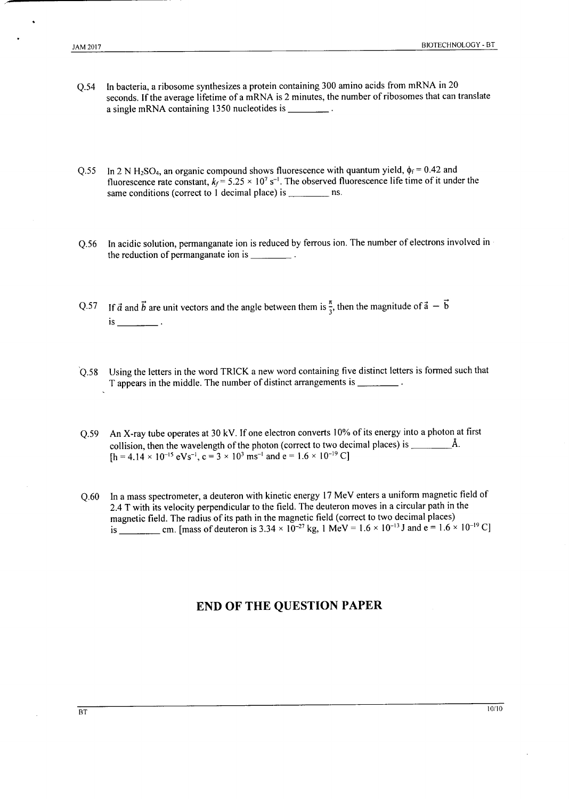- In bacteria, a ribosome synthesizes a protein containing 300 amino acids from mRNA in 20  $Q.54$ seconds. If the average lifetime of a mRNA is 2 minutes, the number of ribosomes that can translate a single mRNA containing 1350 nucleotides is \_\_\_\_\_\_\_\_\_.
- In 2 N H<sub>2</sub>SO<sub>4</sub>, an organic compound shows fluorescence with quantum yield,  $\phi_f = 0.42$  and  $O.55$ fluorescence rate constant,  $k_f = 5.25 \times 10^7$  s<sup>-1</sup>. The observed fluorescence life time of it under the
- In acidic solution, permanganate ion is reduced by ferrous ion. The number of electrons involved in  $Q.56$ the reduction of permanganate ion is  $\frac{1}{\sqrt{1-\frac{1}{\sqrt{1-\frac{1}{\sqrt{1-\frac{1}{\sqrt{1-\frac{1}{\sqrt{1-\frac{1}{\sqrt{1-\frac{1}{\sqrt{1-\frac{1}{\sqrt{1-\frac{1}{\sqrt{1-\frac{1}{\sqrt{1-\frac{1}{\sqrt{1-\frac{1}{\sqrt{1-\frac{1}{\sqrt{1-\frac{1}{\sqrt{1-\frac{1}{\sqrt{1-\frac{1}{\sqrt{1-\frac{1}{\sqrt{1-\frac{1}{\sqrt{1-\frac{1}{\sqrt{1-\frac{1}{\sqrt{1-\frac{$
- Q.57 If  $\vec{a}$  and  $\vec{b}$  are unit vectors and the angle between them is  $\frac{\pi}{3}$ , then the magnitude of  $\vec{a} \vec{b}$  $is$   $\qquad$ .
- Q.58 Using the letters in the word TRICK a new word containing five distinct letters is formed such that T appears in the middle. The number of distinct arrangements is \_\_\_\_\_\_\_\_\_.
- Q.59 An X-ray tube operates at 30 kV. If one electron converts 10% of its energy into a photon at first collision, then the wavelength of the photon (correct to two decimal places) is  $\frac{\hat{A}}{\hat{A}}$ .  $[h = 4.14 \times 10^{-15} \text{ eV} \text{s}^{-1}, c = 3 \times 10^3 \text{ ms}^{-1} \text{ and } e = 1.6 \times 10^{-19} \text{ C}]$
- In a mass spectrometer, a deuteron with kinetic energy 17 MeV enters a uniform magnetic field of  $O.60$ 2.4 T with its velocity perpendicular to the field. The deuteron moves in a circular path in the

### **END OF THE QUESTION PAPER**